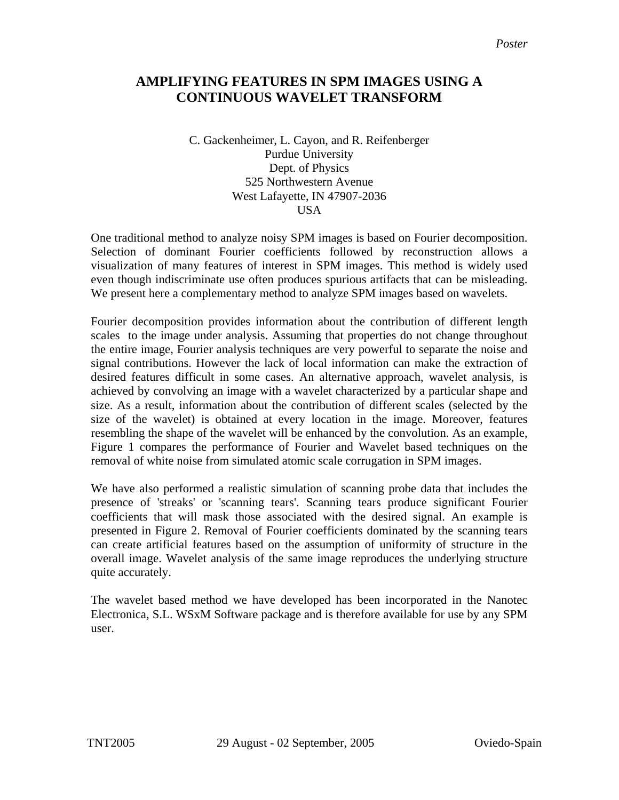## **AMPLIFYING FEATURES IN SPM IMAGES USING A CONTINUOUS WAVELET TRANSFORM**

C. Gackenheimer, L. Cayon, and R. Reifenberger Purdue University Dept. of Physics 525 Northwestern Avenue West Lafayette, IN 47907-2036 **USA** 

One traditional method to analyze noisy SPM images is based on Fourier decomposition. Selection of dominant Fourier coefficients followed by reconstruction allows a visualization of many features of interest in SPM images. This method is widely used even though indiscriminate use often produces spurious artifacts that can be misleading. We present here a complementary method to analyze SPM images based on wavelets.

Fourier decomposition provides information about the contribution of different length scales to the image under analysis. Assuming that properties do not change throughout the entire image, Fourier analysis techniques are very powerful to separate the noise and signal contributions. However the lack of local information can make the extraction of desired features difficult in some cases. An alternative approach, wavelet analysis, is achieved by convolving an image with a wavelet characterized by a particular shape and size. As a result, information about the contribution of different scales (selected by the size of the wavelet) is obtained at every location in the image. Moreover, features resembling the shape of the wavelet will be enhanced by the convolution. As an example, Figure 1 compares the performance of Fourier and Wavelet based techniques on the removal of white noise from simulated atomic scale corrugation in SPM images.

We have also performed a realistic simulation of scanning probe data that includes the presence of 'streaks' or 'scanning tears'. Scanning tears produce significant Fourier coefficients that will mask those associated with the desired signal. An example is presented in Figure 2. Removal of Fourier coefficients dominated by the scanning tears can create artificial features based on the assumption of uniformity of structure in the overall image. Wavelet analysis of the same image reproduces the underlying structure quite accurately.

The wavelet based method we have developed has been incorporated in the Nanotec Electronica, S.L. WSxM Software package and is therefore available for use by any SPM user.